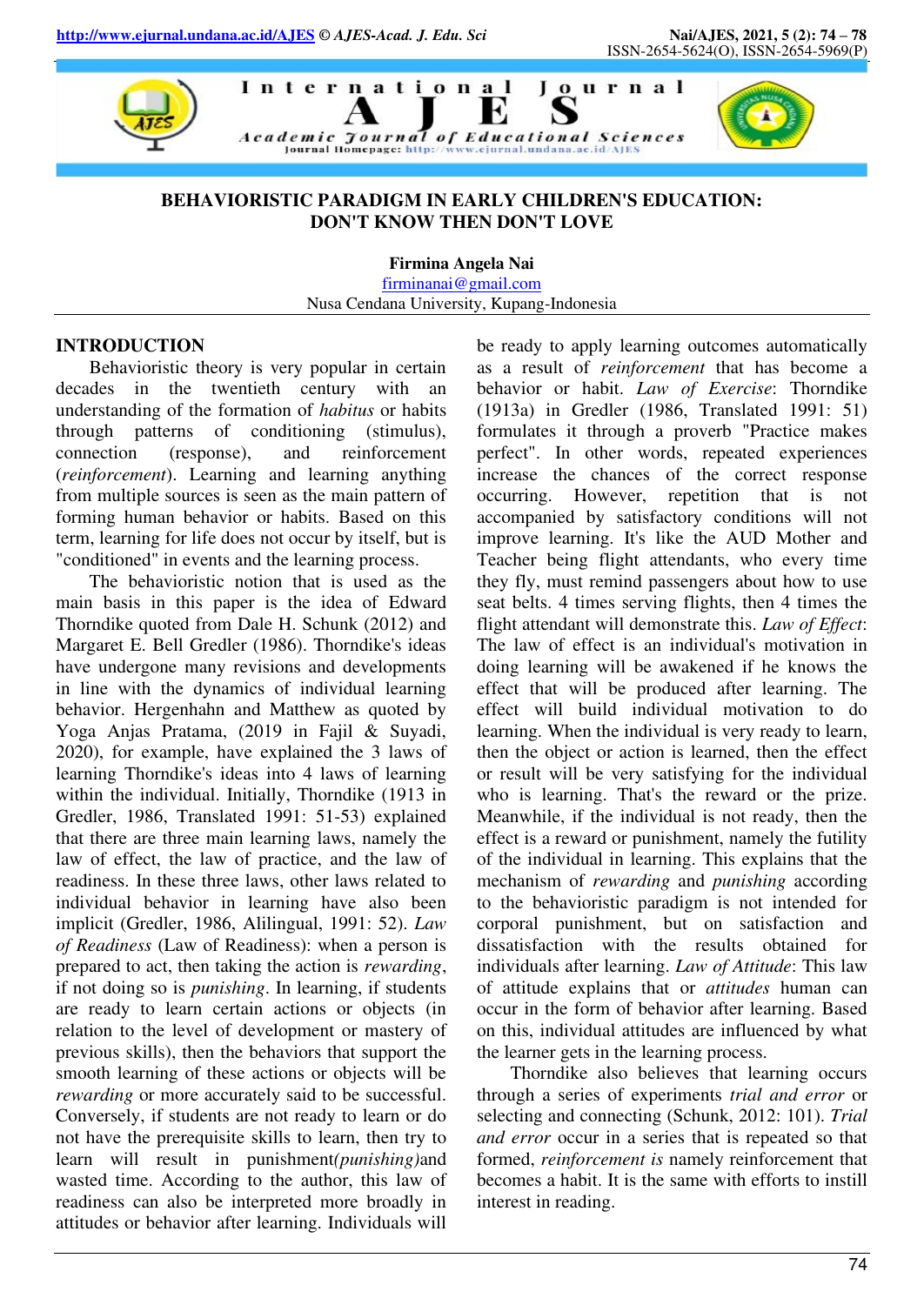

## **BEHAVIORISTIC PARADIGM IN EARLY CHILDREN'S EDUCATION: DON'T KNOW THEN DON'T LOVE**

**Firmina Angela Nai** 

[firminanai@gmail.com](mailto:firminanai@gmail.com) Nusa Cendana University, Kupang-Indonesia

#### **INTRODUCTION**

Behavioristic theory is very popular in certain decades in the twentieth century with an understanding of the formation of *habitus* or habits through patterns of conditioning (stimulus), connection (response), and reinforcement (*reinforcement*). Learning and learning anything from multiple sources is seen as the main pattern of forming human behavior or habits. Based on this term, learning for life does not occur by itself, but is "conditioned" in events and the learning process.

The behavioristic notion that is used as the main basis in this paper is the idea of Edward Thorndike quoted from Dale H. Schunk (2012) and Margaret E. Bell Gredler (1986). Thorndike's ideas have undergone many revisions and developments in line with the dynamics of individual learning behavior. Hergenhahn and Matthew as quoted by Yoga Anjas Pratama, (2019 in Fajil & Suyadi, 2020), for example, have explained the 3 laws of learning Thorndike's ideas into 4 laws of learning within the individual. Initially, Thorndike (1913 in Gredler, 1986, Translated 1991: 51-53) explained that there are three main learning laws, namely the law of effect, the law of practice, and the law of readiness. In these three laws, other laws related to individual behavior in learning have also been implicit (Gredler, 1986, Alilingual, 1991: 52). *Law of Readiness* (Law of Readiness): when a person is prepared to act, then taking the action is *rewarding*, if not doing so is *punishing*. In learning, if students are ready to learn certain actions or objects (in relation to the level of development or mastery of previous skills), then the behaviors that support the smooth learning of these actions or objects will be *rewarding* or more accurately said to be successful. Conversely, if students are not ready to learn or do not have the prerequisite skills to learn, then try to learn will result in punishment*(punishing)*and wasted time. According to the author, this law of readiness can also be interpreted more broadly in attitudes or behavior after learning. Individuals will

be ready to apply learning outcomes automatically as a result of *reinforcement* that has become a behavior or habit. *Law of Exercise*: Thorndike (1913a) in Gredler (1986, Translated 1991: 51) formulates it through a proverb "Practice makes perfect". In other words, repeated experiences increase the chances of the correct response occurring. However, repetition that is not accompanied by satisfactory conditions will not improve learning. It's like the AUD Mother and Teacher being flight attendants, who every time they fly, must remind passengers about how to use seat belts. 4 times serving flights, then 4 times the flight attendant will demonstrate this. *Law of Effect*: The law of effect is an individual's motivation in doing learning will be awakened if he knows the effect that will be produced after learning. The effect will build individual motivation to do learning. When the individual is very ready to learn, then the object or action is learned, then the effect or result will be very satisfying for the individual who is learning. That's the reward or the prize. Meanwhile, if the individual is not ready, then the effect is a reward or punishment, namely the futility of the individual in learning. This explains that the mechanism of *rewarding* and *punishing* according to the behavioristic paradigm is not intended for corporal punishment, but on satisfaction and dissatisfaction with the results obtained for individuals after learning. *Law of Attitude*: This law of attitude explains that or *attitudes* human can occur in the form of behavior after learning. Based on this, individual attitudes are influenced by what the learner gets in the learning process.

Thorndike also believes that learning occurs through a series of experiments *trial and error* or selecting and connecting (Schunk, 2012: 101). *Trial and error* occur in a series that is repeated so that formed, *reinforcement is* namely reinforcement that becomes a habit. It is the same with efforts to instill interest in reading.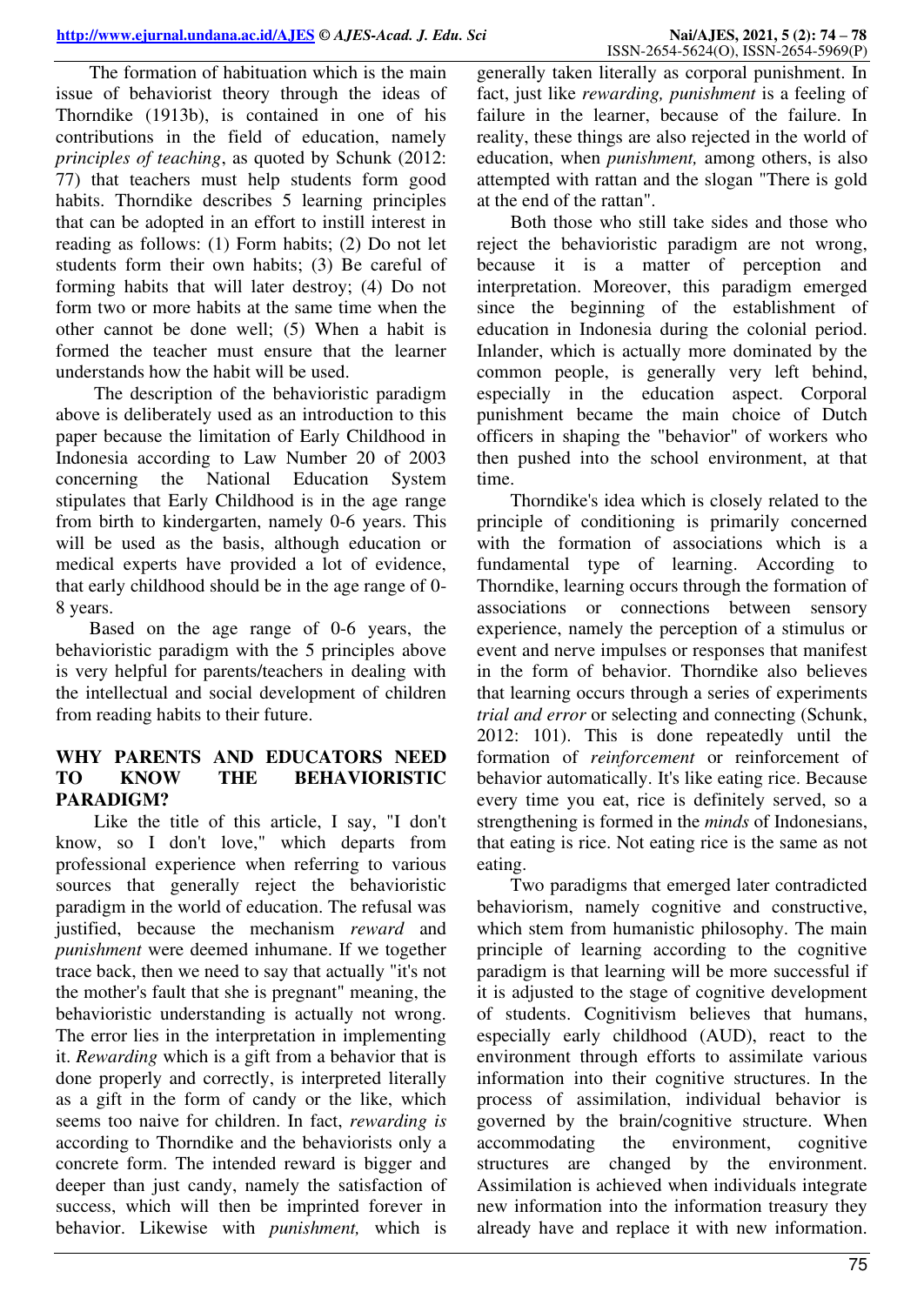The formation of habituation which is the main issue of behaviorist theory through the ideas of Thorndike (1913b), is contained in one of his contributions in the field of education, namely *principles of teaching*, as quoted by Schunk (2012: 77) that teachers must help students form good habits. Thorndike describes 5 learning principles that can be adopted in an effort to instill interest in reading as follows: (1) Form habits; (2) Do not let students form their own habits; (3) Be careful of forming habits that will later destroy; (4) Do not form two or more habits at the same time when the other cannot be done well; (5) When a habit is formed the teacher must ensure that the learner understands how the habit will be used.

 The description of the behavioristic paradigm above is deliberately used as an introduction to this paper because the limitation of Early Childhood in Indonesia according to Law Number 20 of 2003 concerning the National Education System stipulates that Early Childhood is in the age range from birth to kindergarten, namely 0-6 years. This will be used as the basis, although education or medical experts have provided a lot of evidence, that early childhood should be in the age range of 0- 8 years.

Based on the age range of 0-6 years, the behavioristic paradigm with the 5 principles above is very helpful for parents/teachers in dealing with the intellectual and social development of children from reading habits to their future.

## **WHY PARENTS AND EDUCATORS NEED TO KNOW THE BEHAVIORISTIC PARADIGM?**

Like the title of this article, I say, "I don't know, so I don't love," which departs from professional experience when referring to various sources that generally reject the behavioristic paradigm in the world of education. The refusal was justified, because the mechanism *reward* and *punishment* were deemed inhumane. If we together trace back, then we need to say that actually "it's not the mother's fault that she is pregnant" meaning, the behavioristic understanding is actually not wrong. The error lies in the interpretation in implementing it. *Rewarding* which is a gift from a behavior that is done properly and correctly, is interpreted literally as a gift in the form of candy or the like, which seems too naive for children. In fact, *rewarding is* according to Thorndike and the behaviorists only a concrete form. The intended reward is bigger and deeper than just candy, namely the satisfaction of success, which will then be imprinted forever in behavior. Likewise with *punishment,* which is

generally taken literally as corporal punishment. In fact, just like *rewarding, punishment* is a feeling of failure in the learner, because of the failure. In reality, these things are also rejected in the world of education, when *punishment,* among others, is also attempted with rattan and the slogan "There is gold at the end of the rattan".

Both those who still take sides and those who reject the behavioristic paradigm are not wrong, because it is a matter of perception and interpretation. Moreover, this paradigm emerged since the beginning of the establishment of education in Indonesia during the colonial period. Inlander, which is actually more dominated by the common people, is generally very left behind, especially in the education aspect. Corporal punishment became the main choice of Dutch officers in shaping the "behavior" of workers who then pushed into the school environment, at that time.

Thorndike's idea which is closely related to the principle of conditioning is primarily concerned with the formation of associations which is a fundamental type of learning. According to Thorndike, learning occurs through the formation of associations or connections between sensory experience, namely the perception of a stimulus or event and nerve impulses or responses that manifest in the form of behavior. Thorndike also believes that learning occurs through a series of experiments *trial and error* or selecting and connecting (Schunk, 2012: 101). This is done repeatedly until the formation of *reinforcement* or reinforcement of behavior automatically. It's like eating rice. Because every time you eat, rice is definitely served, so a strengthening is formed in the *minds* of Indonesians, that eating is rice. Not eating rice is the same as not eating.

Two paradigms that emerged later contradicted behaviorism, namely cognitive and constructive, which stem from humanistic philosophy. The main principle of learning according to the cognitive paradigm is that learning will be more successful if it is adjusted to the stage of cognitive development of students. Cognitivism believes that humans, especially early childhood (AUD), react to the environment through efforts to assimilate various information into their cognitive structures. In the process of assimilation, individual behavior is governed by the brain/cognitive structure. When accommodating the environment, cognitive structures are changed by the environment. Assimilation is achieved when individuals integrate new information into the information treasury they already have and replace it with new information.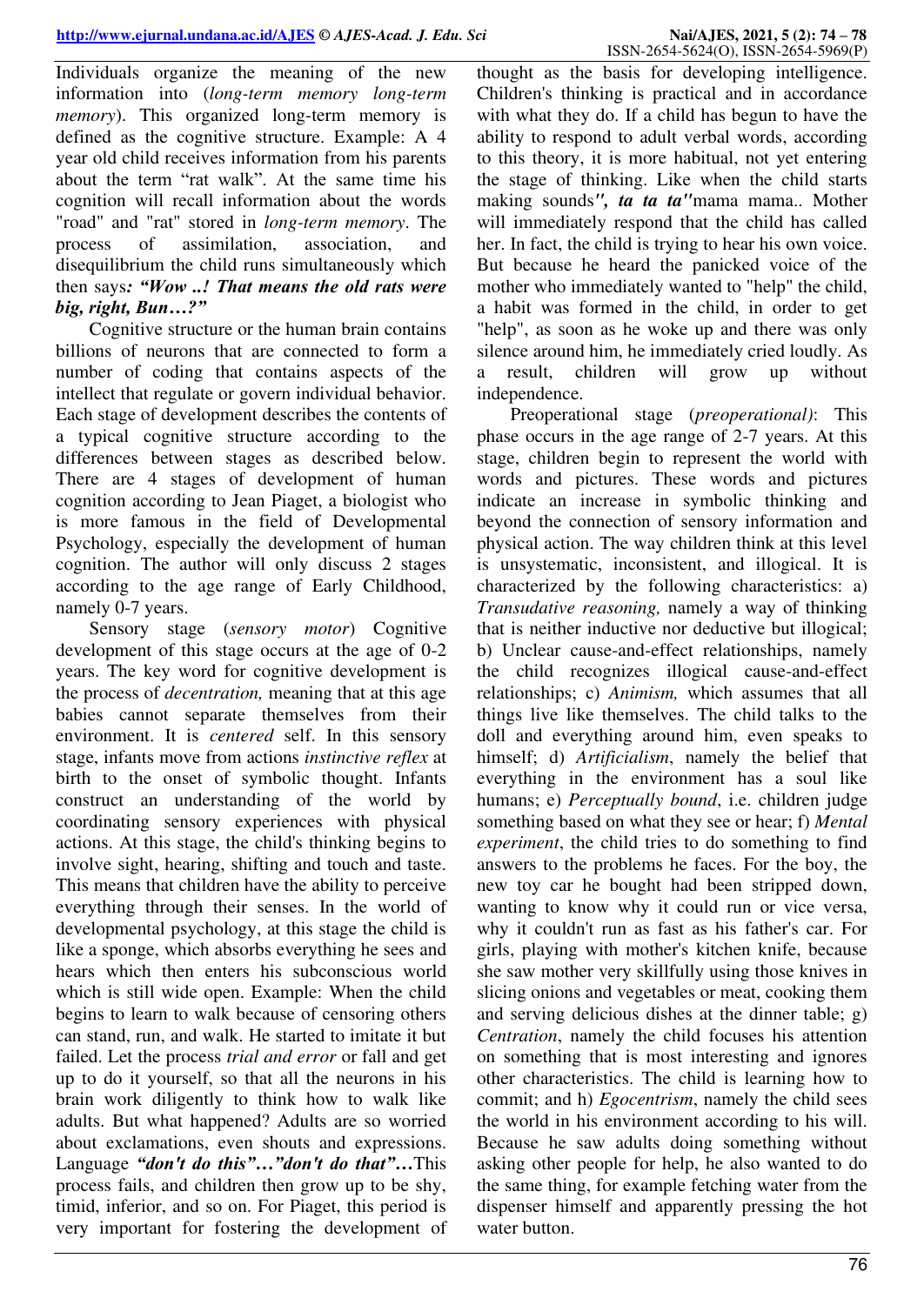Individuals organize the meaning of the new information into (*long-term memory long-term memory*). This organized long-term memory is defined as the cognitive structure. Example: A 4 year old child receives information from his parents about the term "rat walk". At the same time his cognition will recall information about the words "road" and "rat" stored in *long-term memory*. The process of assimilation, association, and disequilibrium the child runs simultaneously which then says*: "Wow ..! That means the old rats were big, right, Bun…?"*

Cognitive structure or the human brain contains billions of neurons that are connected to form a number of coding that contains aspects of the intellect that regulate or govern individual behavior. Each stage of development describes the contents of a typical cognitive structure according to the differences between stages as described below. There are 4 stages of development of human cognition according to Jean Piaget, a biologist who is more famous in the field of Developmental Psychology, especially the development of human cognition. The author will only discuss 2 stages according to the age range of Early Childhood, namely 0-7 years.

Sensory stage (*sensory motor*) Cognitive development of this stage occurs at the age of 0-2 years. The key word for cognitive development is the process of *decentration,* meaning that at this age babies cannot separate themselves from their environment. It is *centered* self. In this sensory stage, infants move from actions *instinctive reflex* at birth to the onset of symbolic thought. Infants construct an understanding of the world by coordinating sensory experiences with physical actions. At this stage, the child's thinking begins to involve sight, hearing, shifting and touch and taste. This means that children have the ability to perceive everything through their senses. In the world of developmental psychology, at this stage the child is like a sponge, which absorbs everything he sees and hears which then enters his subconscious world which is still wide open. Example: When the child begins to learn to walk because of censoring others can stand, run, and walk. He started to imitate it but failed. Let the process *trial and error* or fall and get up to do it yourself, so that all the neurons in his brain work diligently to think how to walk like adults. But what happened? Adults are so worried about exclamations, even shouts and expressions. Language *"don't do this"…"don't do that"…*This process fails, and children then grow up to be shy, timid, inferior, and so on. For Piaget, this period is very important for fostering the development of

thought as the basis for developing intelligence. Children's thinking is practical and in accordance with what they do. If a child has begun to have the ability to respond to adult verbal words, according to this theory, it is more habitual, not yet entering the stage of thinking. Like when the child starts making sounds*", ta ta ta"*mama mama.. Mother will immediately respond that the child has called her. In fact, the child is trying to hear his own voice. But because he heard the panicked voice of the mother who immediately wanted to "help" the child, a habit was formed in the child, in order to get "help", as soon as he woke up and there was only silence around him, he immediately cried loudly. As a result, children will grow up without independence.

Preoperational stage (*preoperational)*: This phase occurs in the age range of 2-7 years. At this stage, children begin to represent the world with words and pictures. These words and pictures indicate an increase in symbolic thinking and beyond the connection of sensory information and physical action. The way children think at this level is unsystematic, inconsistent, and illogical. It is characterized by the following characteristics: a) *Transudative reasoning,* namely a way of thinking that is neither inductive nor deductive but illogical; b) Unclear cause-and-effect relationships, namely the child recognizes illogical cause-and-effect relationships; c) *Animism,* which assumes that all things live like themselves. The child talks to the doll and everything around him, even speaks to himself; d) *Artificialism*, namely the belief that everything in the environment has a soul like humans; e) *Perceptually bound*, i.e. children judge something based on what they see or hear; f) *Mental experiment*, the child tries to do something to find answers to the problems he faces. For the boy, the new toy car he bought had been stripped down, wanting to know why it could run or vice versa, why it couldn't run as fast as his father's car. For girls, playing with mother's kitchen knife, because she saw mother very skillfully using those knives in slicing onions and vegetables or meat, cooking them and serving delicious dishes at the dinner table; g) *Centration*, namely the child focuses his attention on something that is most interesting and ignores other characteristics. The child is learning how to commit; and h) *Egocentrism*, namely the child sees the world in his environment according to his will. Because he saw adults doing something without asking other people for help, he also wanted to do the same thing, for example fetching water from the dispenser himself and apparently pressing the hot water button.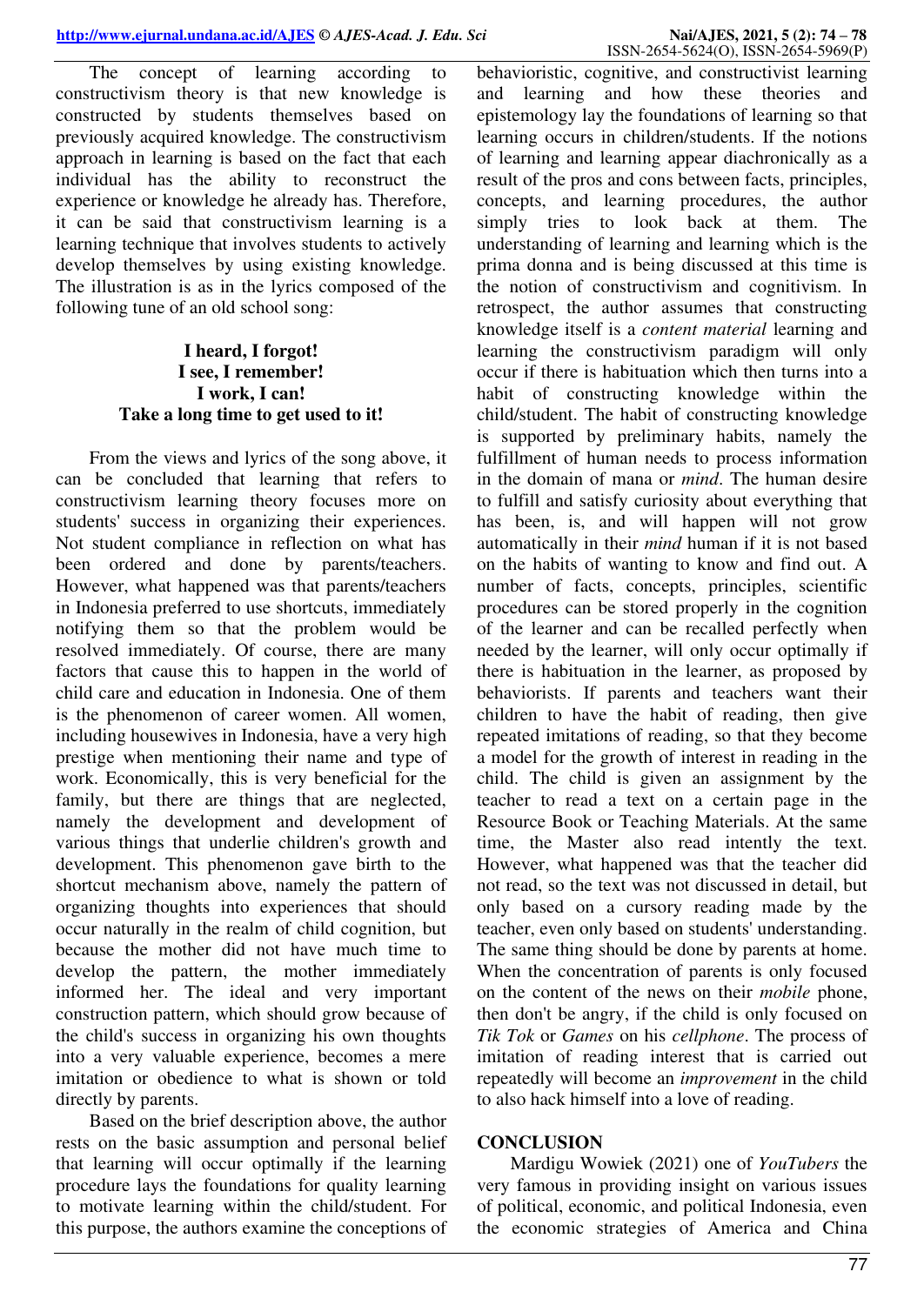The concept of learning according to constructivism theory is that new knowledge is constructed by students themselves based on previously acquired knowledge. The constructivism approach in learning is based on the fact that each individual has the ability to reconstruct the experience or knowledge he already has. Therefore, it can be said that constructivism learning is a learning technique that involves students to actively develop themselves by using existing knowledge. The illustration is as in the lyrics composed of the following tune of an old school song:

## **I heard, I forgot! I see, I remember! I work, I can! Take a long time to get used to it!**

From the views and lyrics of the song above, it can be concluded that learning that refers to constructivism learning theory focuses more on students' success in organizing their experiences. Not student compliance in reflection on what has been ordered and done by parents/teachers. However, what happened was that parents/teachers in Indonesia preferred to use shortcuts, immediately notifying them so that the problem would be resolved immediately. Of course, there are many factors that cause this to happen in the world of child care and education in Indonesia. One of them is the phenomenon of career women. All women, including housewives in Indonesia, have a very high prestige when mentioning their name and type of work. Economically, this is very beneficial for the family, but there are things that are neglected, namely the development and development of various things that underlie children's growth and development. This phenomenon gave birth to the shortcut mechanism above, namely the pattern of organizing thoughts into experiences that should occur naturally in the realm of child cognition, but because the mother did not have much time to develop the pattern, the mother immediately informed her. The ideal and very important construction pattern, which should grow because of the child's success in organizing his own thoughts into a very valuable experience, becomes a mere imitation or obedience to what is shown or told directly by parents.

Based on the brief description above, the author rests on the basic assumption and personal belief that learning will occur optimally if the learning procedure lays the foundations for quality learning to motivate learning within the child/student. For this purpose, the authors examine the conceptions of

behavioristic, cognitive, and constructivist learning and learning and how these theories and epistemology lay the foundations of learning so that learning occurs in children/students. If the notions of learning and learning appear diachronically as a result of the pros and cons between facts, principles, concepts, and learning procedures, the author simply tries to look back at them. The understanding of learning and learning which is the prima donna and is being discussed at this time is the notion of constructivism and cognitivism. In retrospect, the author assumes that constructing knowledge itself is a *content material* learning and learning the constructivism paradigm will only occur if there is habituation which then turns into a habit of constructing knowledge within the child/student. The habit of constructing knowledge is supported by preliminary habits, namely the fulfillment of human needs to process information in the domain of mana or *mind*. The human desire to fulfill and satisfy curiosity about everything that has been, is, and will happen will not grow automatically in their *mind* human if it is not based on the habits of wanting to know and find out. A number of facts, concepts, principles, scientific procedures can be stored properly in the cognition of the learner and can be recalled perfectly when needed by the learner, will only occur optimally if there is habituation in the learner, as proposed by behaviorists. If parents and teachers want their children to have the habit of reading, then give repeated imitations of reading, so that they become a model for the growth of interest in reading in the child. The child is given an assignment by the teacher to read a text on a certain page in the Resource Book or Teaching Materials. At the same time, the Master also read intently the text. However, what happened was that the teacher did not read, so the text was not discussed in detail, but only based on a cursory reading made by the teacher, even only based on students' understanding. The same thing should be done by parents at home. When the concentration of parents is only focused on the content of the news on their *mobile* phone, then don't be angry, if the child is only focused on *Tik Tok* or *Games* on his *cellphone*. The process of imitation of reading interest that is carried out repeatedly will become an *improvement* in the child to also hack himself into a love of reading.

#### **CONCLUSION**

Mardigu Wowiek (2021) one of *YouTubers* the very famous in providing insight on various issues of political, economic, and political Indonesia, even the economic strategies of America and China